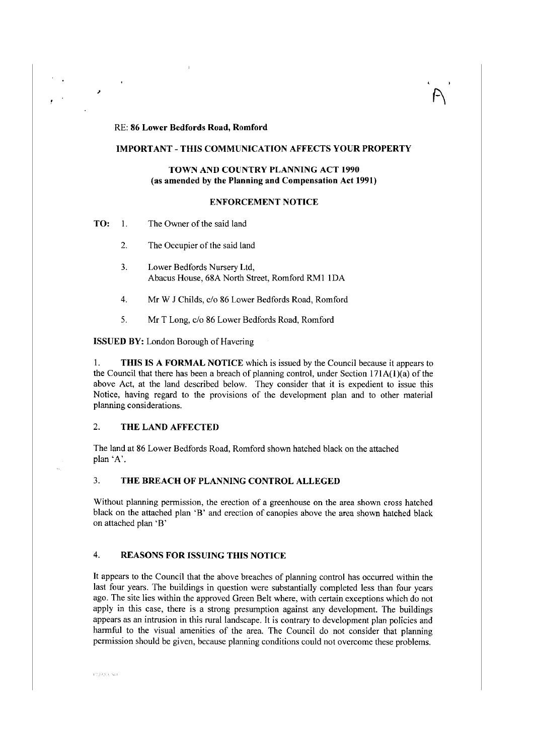#### RE: **86 Lower Bedfords Road, Romford**

## **IMPORTANT-THIS COMMUNICATION AFFECTS YOUR PROPERTY**

## **TOWN AND COUNTRY PLANNING ACT 1990** (as **amended by the Planning and Compensation Act 1991)**

# **ENFORCEMENT NOTICE**

**TO:** 1. The Owner of the said land

,

- 2. The Occupier of the said land
- 3. Lower Bedfords Nursery Ltd, Abacus House, 68A North Street, Romford RMI IDA
- 4. Mr W 1 Childs, c/o 86 Lower Bedfords Road, Romford
- 5. Mr T Long, c/o 86 Lower Bedfords Road, Romford

**ISSUED BY:** London Borough of Havering

I. **THIS IS A FORMAL NOTICE** which is issued by the Council because it appears to the Council that there has been a breach of planning control, under Section  $171A(1)(a)$  of the above Act, at the land described below. They consider that it is expedient to issue this Notice, having regard to the provisions of the development plan and to other material planning considerations.

# 2. **THE LAND AFFECTED**

The land at 86 Lower Bedfords Road, Romford shown hatched black on the attached plan 'A'.

# 3. **THE BREACH OF PLANNING CONTROL ALLEGED**

Without planning permission, the erection of a greenhouse on the area shown cross hatched black on the attached plan 'B' and erection of canopies above the area shown hatched black on attached plan 'B'

# 4. **REASONS FOR ISSUING THIS NOTICE**

It appears to the Council that the above breaches of planning control has occurred within the last four years. The buildings in question were substantially completed less than four years ago. The site lies within the approved Green Belt where, with certain exceptions which do not apply in this case, there is a strong presumption against any development. The buildings appears as an intrusion in this rural landscape. It is contrary to development plan policies and harmful to the visual amenities of the area. The Council do not consider that planning permission should be given, because planning conditions could not overcome these problems.

**CLOSSING**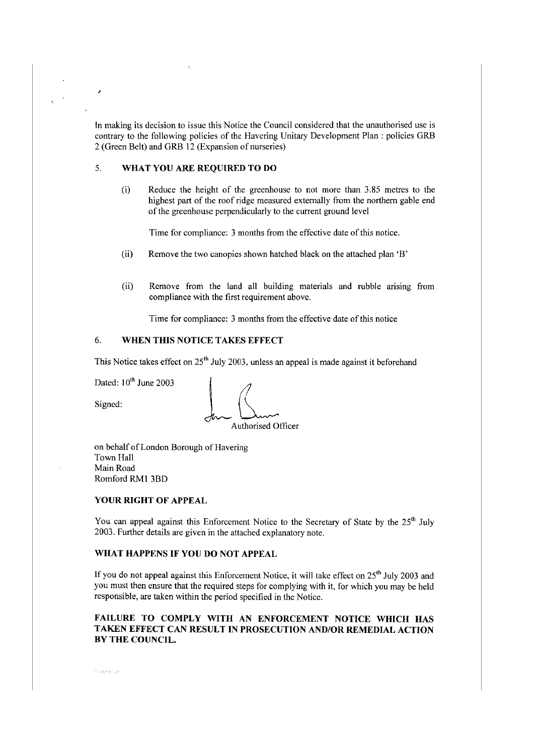In making its decision to issue this Notice the Council considered that the unauthorised use is contrary to the following policies of the Havering Unitary Development Plan : policies GRB 2 (Green Belt) and GRB 12 (Expansion of nurseries)

# 5. **WHAT YOU ARE REQUIRED TO DO**

(i) Reduce the height of the greenhouse to not more than 3.85 metres to the highest part of the roof ridge measured externally from the northern gable end of the greenhouse perpendicularly to the current ground level

Time for compliance: 3 months from the effective date of this notice.

- (ii) Remove the two canopies shown hatched black on the attached plan 'B'
- (ii) Remove from the land all building materials and rubble arising from compliance with the first requirement above.

Time for compliance: 3 months from the effective date of this notice

# 6. **WHEN THIS NOTICE TAKES EFFECT**

This Notice takes effect on  $25<sup>th</sup>$  July 2003, unless an appeal is made against it beforehand

Dated:  $10^{th}$  June 2003

,

Dated:  $10^{\text{th}}$  June 2003<br>Signed:  $\int_{\mathcal{U}} \sqrt{\frac{1}{\text{Aut}(\text{horizontal})}}$ Authorised Officer

on behalf of London Borough of Havering Town Hall Main Road Romford RMI 3BD

#### **YOUR RIGHT OF APPEAL**

You can appeal against this Enforcement Notice to the Secretary of State by the 25<sup>th</sup> July 2003. Further details are given in the attached explanatory note.

# **WHAT HAPPENS IF YOU DO NOT APPEAL**

If you do not appeal against this Enforcement Notice, it will take effect on 25<sup>th</sup> July 2003 and you must then ensure that the required steps for complying with it, for which you may be held responsible, are taken within the period specified in the Notice.

# **FAILURE TO COMPLY WITH AN ENFORCEMENT NOTICE WHICH HAS TAKEN EFFECT CAN RESULT IN PROSECUTION AND/OR REMEDIAL ACTION BY THE COUNCIL.**

ish deciso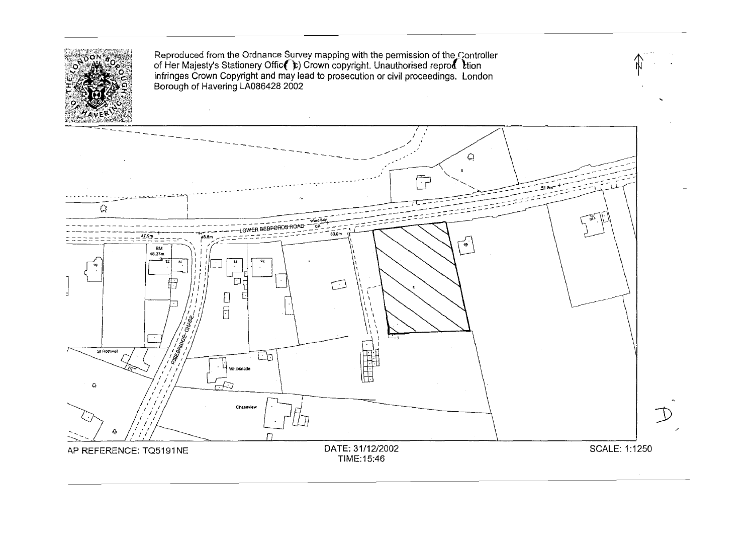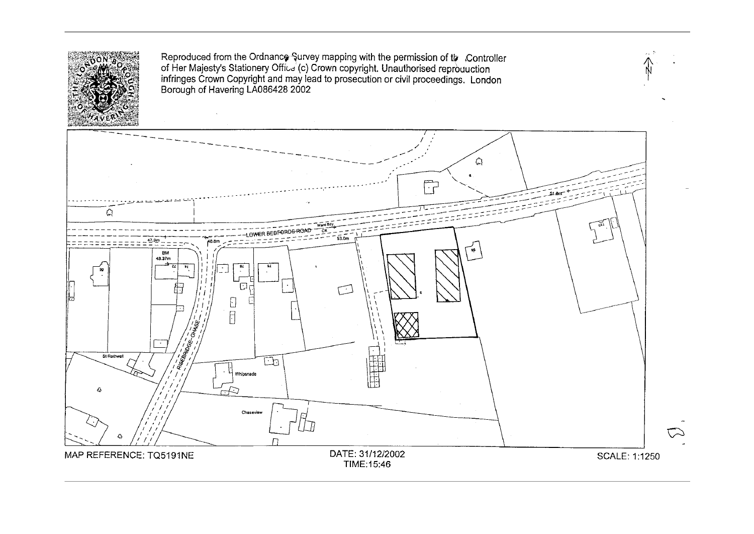

Reproduced from the Ordnance Survey mapping with the permission of the Controller of Her Majesty's Stationery Offit-d (c) Crown copyright. Unauthorised reprbuuction infringes Crown Copyright and may lead to prosecution or civil proceedings. London ~ Borough of Havering LA086428 2002

 $\omega_{\rm eff}$  .  $\tilde{\omega}$